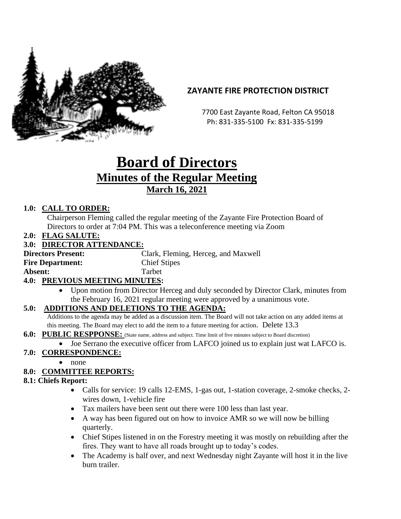

# **ZAYANTE FIRE PROTECTION DISTRICT**

 7700 East Zayante Road, Felton CA 95018 Ph: 831-335-5100 Fx: 831-335-5199

# **Board of Directors Minutes of the Regular Meeting March 16, 2021**

## **1.0: CALL TO ORDER:**

Chairperson Fleming called the regular meeting of the Zayante Fire Protection Board of Directors to order at 7:04 PM. This was a teleconference meeting via Zoom

**2.0: FLAG SALUTE:**

#### **3.0: DIRECTOR ATTENDANCE:**

**Directors Present:** Clark, Fleming, Herceg, and Maxwell **Fire Department:** Chief Stipes **Absent:** Tarbet

#### **4.0: PREVIOUS MEETING MINUTES:**

• Upon motion from Director Herceg and duly seconded by Director Clark, minutes from the February 16, 2021 regular meeting were approved by a unanimous vote.

#### **5.0: ADDITIONS AND DELETIONS TO THE AGENDA:**

Additions to the agenda may be added as a discussion item. The Board will not take action on any added items at this meeting. The Board may elect to add the item to a future meeting for action. Delete 13.3

- **6.0: PUBLIC RESPPONSE:** (State name, address and subject. Time limit of five minutes subject to Board discretion)
	- Joe Serrano the executive officer from LAFCO joined us to explain just wat LAFCO is.

## **7.0: CORRESPONDENCE:**

• none

## **8.0: COMMITTEE REPORTS:**

#### **8.1: Chiefs Report:**

- Calls for service: 19 calls 12-EMS, 1-gas out, 1-station coverage, 2-smoke checks, 2wires down, 1-vehicle fire
- Tax mailers have been sent out there were 100 less than last year.
- A way has been figured out on how to invoice AMR so we will now be billing quarterly.
- Chief Stipes listened in on the Forestry meeting it was mostly on rebuilding after the fires. They want to have all roads brought up to today's codes.
- The Academy is half over, and next Wednesday night Zayante will host it in the live burn trailer.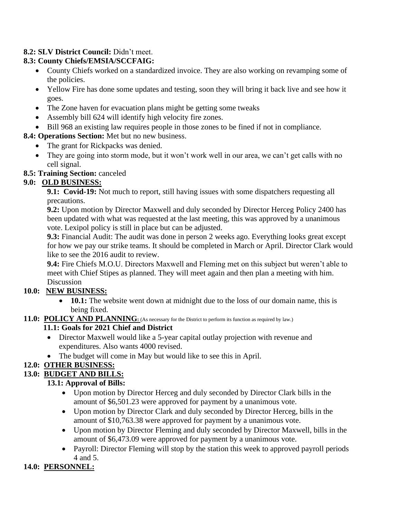## **8.2: SLV District Council:** Didn't meet.

## **8.3: County Chiefs/EMSIA/SCCFAIG:**

- County Chiefs worked on a standardized invoice. They are also working on revamping some of the policies.
- Yellow Fire has done some updates and testing, soon they will bring it back live and see how it goes.
- The Zone haven for evacuation plans might be getting some tweaks
- Assembly bill 624 will identify high velocity fire zones.
- Bill 968 an existing law requires people in those zones to be fined if not in compliance.

## **8.4: Operations Section:** Met but no new business.

- The grant for Rickpacks was denied.
- They are going into storm mode, but it won't work well in our area, we can't get calls with no cell signal.

## **8.5: Training Section:** canceled

## **9.0: OLD BUSINESS:**

**9.1: Covid-19:** Not much to report, still having issues with some dispatchers requesting all precautions.

**9.2:** Upon motion by Director Maxwell and duly seconded by Director Herceg Policy 2400 has been updated with what was requested at the last meeting, this was approved by a unanimous vote. Lexipol policy is still in place but can be adjusted.

**9.3:** Financial Audit: The audit was done in person 2 weeks ago. Everything looks great except for how we pay our strike teams. It should be completed in March or April. Director Clark would like to see the 2016 audit to review.

**9.4:** Fire Chiefs M.O.U. Directors Maxwell and Fleming met on this subject but weren't able to meet with Chief Stipes as planned. They will meet again and then plan a meeting with him. Discussion

## **10.0: NEW BUSINESS:**

• **10.1:** The website went down at midnight due to the loss of our domain name, this is being fixed.

#### 11.0: POLICY AND PLANNING: (As necessary for the District to perform its function as required by law.)

## **11.1: Goals for 2021 Chief and District**

- Director Maxwell would like a 5-year capital outlay projection with revenue and expenditures. Also wants 4000 revised.
- The budget will come in May but would like to see this in April.

# **12.0: OTHER BUSINESS:**

#### **13.0: BUDGET AND BILLS:**

## **13.1: Approval of Bills:**

- Upon motion by Director Herceg and duly seconded by Director Clark bills in the amount of \$6,501.23 were approved for payment by a unanimous vote.
- Upon motion by Director Clark and duly seconded by Director Herceg, bills in the amount of \$10,763.38 were approved for payment by a unanimous vote.
- Upon motion by Director Fleming and duly seconded by Director Maxwell, bills in the amount of \$6,473.09 were approved for payment by a unanimous vote.
- Payroll: Director Fleming will stop by the station this week to approved payroll periods 4 and 5.

# **14.0: PERSONNEL:**